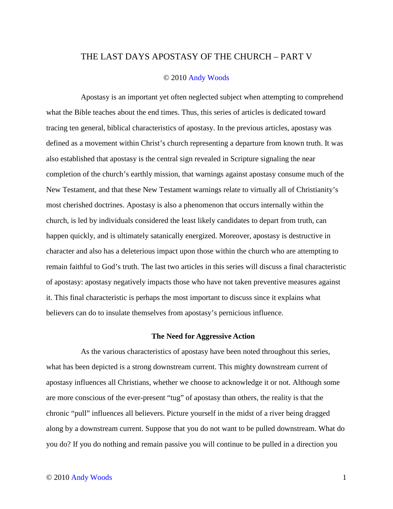## THE LAST DAYS APOSTASY OF THE CHURCH – PART V

## © 2010 Andy Woods

Apostasy is an important yet often neglected subject when attempting to comprehend what the Bible teaches about the end times. Thus, this series of articles is dedicated toward tracing ten general, biblical characteristics of apostasy. In the previous articles, apostasy was defined as a movement within Christ's church representing a departure from known truth. It was also established that apostasy is the central sign revealed in Scripture signaling the near completion of the church's earthly mission, that warnings against apostasy consume much of the New Testament, and that these New Testament warnings relate to virtually all of Christianity's most cherished doctrines. Apostasy is also a phenomenon that occurs internally within the church, is led by individuals considered the least likely candidates to depart from truth, can happen quickly, and is ultimately satanically energized. Moreover, apostasy is destructive in character and also has a deleterious impact upon those within the church who are attempting to remain faithful to God's truth. The last two articles in this series will discuss a final characteristic of apostasy: apostasy negatively impacts those who have not taken preventive measures against it. This final characteristic is perhaps the most important to discuss since it explains what believers can do to insulate themselves from apostasy's pernicious influence.

## **The Need for Aggressive Action**

As the various characteristics of apostasy have been noted throughout this series, what has been depicted is a strong downstream current. This mighty downstream current of apostasy influences all Christians, whether we choose to acknowledge it or not. Although some are more conscious of the ever-present "tug" of apostasy than others, the reality is that the chronic "pull" influences all believers. Picture yourself in the midst of a river being dragged along by a downstream current. Suppose that you do not want to be pulled downstream. What do you do? If you do nothing and remain passive you will continue to be pulled in a direction you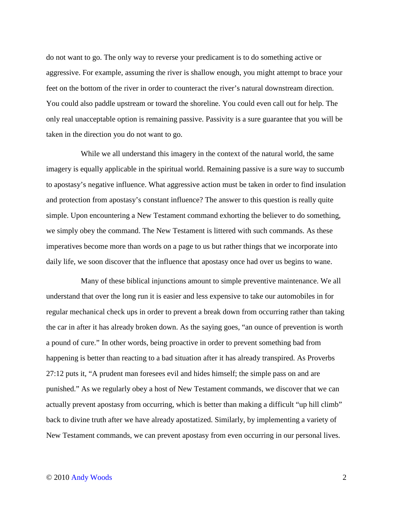do not want to go. The only way to reverse your predicament is to do something active or aggressive. For example, assuming the river is shallow enough, you might attempt to brace your feet on the bottom of the river in order to counteract the river's natural downstream direction. You could also paddle upstream or toward the shoreline. You could even call out for help. The only real unacceptable option is remaining passive. Passivity is a sure guarantee that you will be taken in the direction you do not want to go.

While we all understand this imagery in the context of the natural world, the same imagery is equally applicable in the spiritual world. Remaining passive is a sure way to succumb to apostasy's negative influence. What aggressive action must be taken in order to find insulation and protection from apostasy's constant influence? The answer to this question is really quite simple. Upon encountering a New Testament command exhorting the believer to do something, we simply obey the command. The New Testament is littered with such commands. As these imperatives become more than words on a page to us but rather things that we incorporate into daily life, we soon discover that the influence that apostasy once had over us begins to wane.

Many of these biblical injunctions amount to simple preventive maintenance. We all understand that over the long run it is easier and less expensive to take our automobiles in for regular mechanical check ups in order to prevent a break down from occurring rather than taking the car in after it has already broken down. As the saying goes, "an ounce of prevention is worth a pound of cure." In other words, being proactive in order to prevent something bad from happening is better than reacting to a bad situation after it has already transpired. As Proverbs 27:12 puts it, "A prudent man foresees evil and hides himself; the simple pass on and are punished." As we regularly obey a host of New Testament commands, we discover that we can actually prevent apostasy from occurring, which is better than making a difficult "up hill climb" back to divine truth after we have already apostatized. Similarly, by implementing a variety of New Testament commands, we can prevent apostasy from even occurring in our personal lives.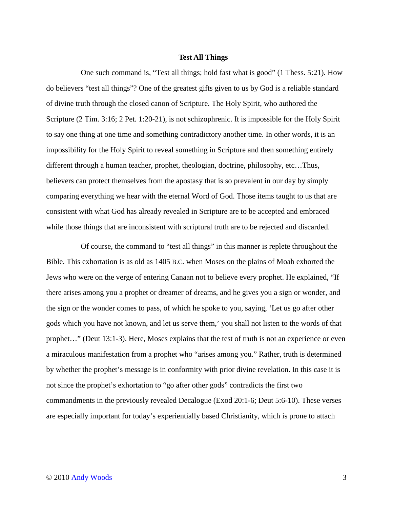## **Test All Things**

One such command is, "Test all things; hold fast what is good" (1 Thess. 5:21). How do believers "test all things"? One of the greatest gifts given to us by God is a reliable standard of divine truth through the closed canon of Scripture. The Holy Spirit, who authored the Scripture (2 Tim. 3:16; 2 Pet. 1:20-21), is not schizophrenic. It is impossible for the Holy Spirit to say one thing at one time and something contradictory another time. In other words, it is an impossibility for the Holy Spirit to reveal something in Scripture and then something entirely different through a human teacher, prophet, theologian, doctrine, philosophy, etc…Thus, believers can protect themselves from the apostasy that is so prevalent in our day by simply comparing everything we hear with the eternal Word of God. Those items taught to us that are consistent with what God has already revealed in Scripture are to be accepted and embraced while those things that are inconsistent with scriptural truth are to be rejected and discarded.

Of course, the command to "test all things" in this manner is replete throughout the Bible. This exhortation is as old as 1405 B.C. when Moses on the plains of Moab exhorted the Jews who were on the verge of entering Canaan not to believe every prophet. He explained, "If there arises among you a prophet or dreamer of dreams, and he gives you a sign or wonder, and the sign or the wonder comes to pass, of which he spoke to you, saying, 'Let us go after other gods which you have not known, and let us serve them,' you shall not listen to the words of that prophet…" (Deut 13:1-3). Here, Moses explains that the test of truth is not an experience or even a miraculous manifestation from a prophet who "arises among you." Rather, truth is determined by whether the prophet's message is in conformity with prior divine revelation. In this case it is not since the prophet's exhortation to "go after other gods" contradicts the first two commandments in the previously revealed Decalogue (Exod 20:1-6; Deut 5:6-10). These verses are especially important for today's experientially based Christianity, which is prone to attach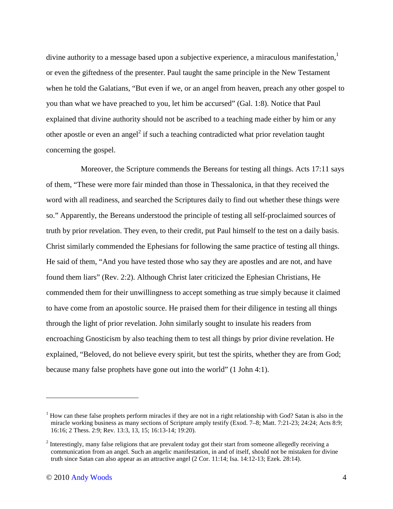divine authority to a message based upon a subjective experience, a miraculous manifestation, $<sup>1</sup>$ </sup> or even the giftedness of the presenter. Paul taught the same principle in the New Testament when he told the Galatians, "But even if we, or an angel from heaven, preach any other gospel to you than what we have preached to you, let him be accursed" (Gal. 1:8). Notice that Paul explained that divine authority should not be ascribed to a teaching made either by him or any other apostle or even an angel<sup>2</sup> if such a teaching contradicted what prior revelation taught concerning the gospel.

Moreover, the Scripture commends the Bereans for testing all things. Acts 17:11 says of them, "These were more fair minded than those in Thessalonica, in that they received the word with all readiness, and searched the Scriptures daily to find out whether these things were so." Apparently, the Bereans understood the principle of testing all self-proclaimed sources of truth by prior revelation. They even, to their credit, put Paul himself to the test on a daily basis. Christ similarly commended the Ephesians for following the same practice of testing all things. He said of them, "And you have tested those who say they are apostles and are not, and have found them liars" (Rev. 2:2). Although Christ later criticized the Ephesian Christians, He commended them for their unwillingness to accept something as true simply because it claimed to have come from an apostolic source. He praised them for their diligence in testing all things through the light of prior revelation. John similarly sought to insulate his readers from encroaching Gnosticism by also teaching them to test all things by prior divine revelation. He explained, "Beloved, do not believe every spirit, but test the spirits, whether they are from God; because many false prophets have gone out into the world" (1 John 4:1).

<u>.</u>

 $1$  How can these false prophets perform miracles if they are not in a right relationship with God? Satan is also in the miracle working business as many sections of Scripture amply testify (Exod. 7–8; Matt. 7:21-23; 24:24; Acts 8:9; 16:16; 2 Thess. 2:9; Rev. 13:3, 13, 15; 16:13-14; 19:20).

 $2$  Interestingly, many false religions that are prevalent today got their start from someone allegedly receiving a communication from an angel. Such an angelic manifestation, in and of itself, should not be mistaken for divine truth since Satan can also appear as an attractive angel (2 Cor. 11:14; Isa. 14:12-13; Ezek. 28:14).